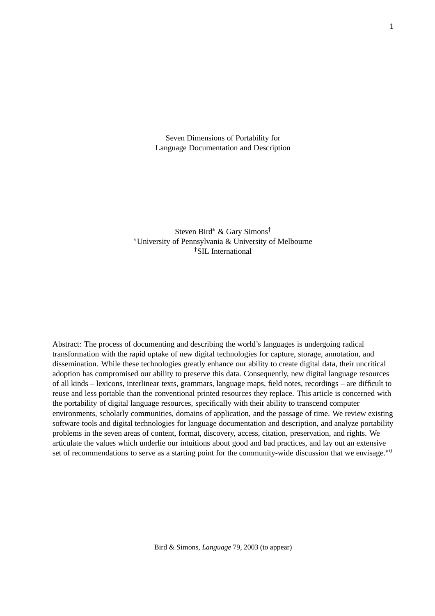Seven Dimensions of Portability for Language Documentation and Description

Steven Bird\* & Gary Simons $^{\dagger}$  University of Pennsylvania & University of Melbourne <sup>†</sup>SIL International

Abstract: The process of documenting and describing the world's languages is undergoing radical transformation with the rapid uptake of new digital technologies for capture, storage, annotation, and dissemination. While these technologies greatly enhance our ability to create digital data, their uncritical adoption has compromised our ability to preserve this data. Consequently, new digital language resources of all kinds – lexicons, interlinear texts, grammars, language maps, field notes, recordings – are difficult to reuse and less portable than the conventional printed resources they replace. This article is concerned with the portability of digital language resources, specifically with their ability to transcend computer environments, scholarly communities, domains of application, and the passage of time. We review existing software tools and digital technologies for language documentation and description, and analyze portability problems in the seven areas of content, format, discovery, access, citation, preservation, and rights. We articulate the values which underlie our intuitions about good and bad practices, and lay out an extensive set of recommendations to serve as a starting point for the community-wide discussion that we envisage.<sup>\*0</sup>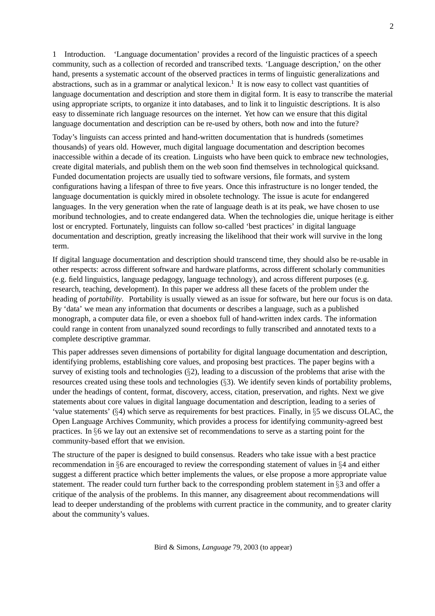1 Introduction. 'Language documentation' provides a record of the linguistic practices of a speech community, such as a collection of recorded and transcribed texts. 'Language description,' on the other hand, presents a systematic account of the observed practices in terms of linguistic generalizations and abstractions, such as in a grammar or analytical lexicon.<sup>1</sup> It is now easy to collect vast quantities of language documentation and description and store them in digital form. It is easy to transcribe the material using appropriate scripts, to organize it into databases, and to link it to linguistic descriptions. It is also easy to disseminate rich language resources on the internet. Yet how can we ensure that this digital language documentation and description can be re-used by others, both now and into the future?

Today's linguists can access printed and hand-written documentation that is hundreds (sometimes thousands) of years old. However, much digital language documentation and description becomes inaccessible within a decade of its creation. Linguists who have been quick to embrace new technologies, create digital materials, and publish them on the web soon find themselves in technological quicksand. Funded documentation projects are usually tied to software versions, file formats, and system configurations having a lifespan of three to five years. Once this infrastructure is no longer tended, the language documentation is quickly mired in obsolete technology. The issue is acute for endangered languages. In the very generation when the rate of language death is at its peak, we have chosen to use moribund technologies, and to create endangered data. When the technologies die, unique heritage is either lost or encrypted. Fortunately, linguists can follow so-called 'best practices' in digital language documentation and description, greatly increasing the likelihood that their work will survive in the long term.

If digital language documentation and description should transcend time, they should also be re-usable in other respects: across different software and hardware platforms, across different scholarly communities (e.g. field linguistics, language pedagogy, language technology), and across different purposes (e.g. research, teaching, development). In this paper we address all these facets of the problem under the heading of *portability*. Portability is usually viewed as an issue for software, but here our focus is on data. By 'data' we mean any information that documents or describes a language, such as a published monograph, a computer data file, or even a shoebox full of hand-written index cards. The information could range in content from unanalyzed sound recordings to fully transcribed and annotated texts to a complete descriptive grammar.

This paper addresses seven dimensions of portability for digital language documentation and description, identifying problems, establishing core values, and proposing best practices. The paper begins with a survey of existing tools and technologies  $(\S 2)$ , leading to a discussion of the problems that arise with the resources created using these tools and technologies  $(\S3)$ . We identify seven kinds of portability problems, under the headings of content, format, discovery, access, citation, preservation, and rights. Next we give statements about core values in digital language documentation and description, leading to a series of 'value statements'  $(\S 4)$  which serve as requirements for best practices. Finally, in  $\S 5$  we discuss OLAC, the Open Language Archives Community, which provides a process for identifying community-agreed best practices. In  $\S6$  we lay out an extensive set of recommendations to serve as a starting point for the community-based effort that we envision.

The structure of the paper is designed to build consensus. Readers who take issue with a best practice recommendation in  $\S6$  are encouraged to review the corresponding statement of values in  $\S4$  and either suggest a different practice which better implements the values, or else propose a more appropriate value statement. The reader could turn further back to the corresponding problem statement in  $\S$ 3 and offer a critique of the analysis of the problems. In this manner, any disagreement about recommendations will lead to deeper understanding of the problems with current practice in the community, and to greater clarity about the community's values.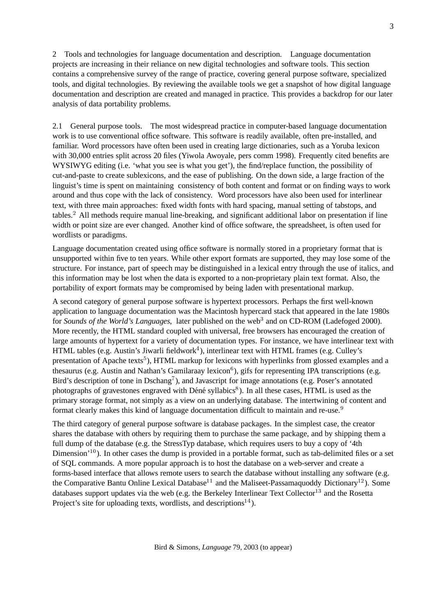2 Tools and technologies for language documentation and description. Language documentation projects are increasing in their reliance on new digital technologies and software tools. This section contains a comprehensive survey of the range of practice, covering general purpose software, specialized tools, and digital technologies. By reviewing the available tools we get a snapshot of how digital language documentation and description are created and managed in practice. This provides a backdrop for our later analysis of data portability problems.

2.1 General purpose tools. The most widespread practice in computer-based language documentation work is to use conventional office software. This software is readily available, often pre-installed, and familiar. Word processors have often been used in creating large dictionaries, such as a Yoruba lexicon with 30,000 entries split across 20 files (Yiwola Awoyale, pers comm 1998). Frequently cited benefits are WYSIWYG editing (i.e. 'what you see is what you get'), the find/replace function, the possibility of cut-and-paste to create sublexicons, and the ease of publishing. On the down side, a large fraction of the linguist's time is spent on maintaining consistency of both content and format or on finding ways to work around and thus cope with the lack of consistency. Word processors have also been used for interlinear text, with three main approaches: fixed width fonts with hard spacing, manual setting of tabstops, and tables.<sup>2</sup> All methods require manual line-breaking, and significant additional labor on presentation if line width or point size are ever changed. Another kind of office software, the spreadsheet, is often used for wordlists or paradigms.

Language documentation created using office software is normally stored in a proprietary format that is unsupported within five to ten years. While other export formats are supported, they may lose some of the structure. For instance, part of speech may be distinguished in a lexical entry through the use of italics, and this information may be lost when the data is exported to a non-proprietary plain text format. Also, the portability of export formats may be compromised by being laden with presentational markup.

A second category of general purpose software is hypertext processors. Perhaps the first well-known application to language documentation was the Macintosh hypercard stack that appeared in the late 1980s for *Sounds of the World's Languages*, later published on the web<sup>3</sup> and on CD-ROM (Ladefoged 2000). More recently, the HTML standard coupled with universal, free browsers has encouraged the creation of large amounts of hypertext for a variety of documentation types. For instance, we have interlinear text with HTML tables (e.g. Austin's Jiwarli fieldwork<sup>4</sup>), interlinear text with HTML frames (e.g. Culley's presentation of Apache texts<sup>5</sup>), HTML markup for lexicons with hyperlinks from glossed examples and a thesaurus (e.g. Austin and Nathan's Gamilaraay lexicon<sup>6</sup>), gifs for representing IPA transcriptions (e.g. Bird's description of tone in Dschang<sup>7</sup>), and Javascript for image annotations (e.g. Poser's annotated photographs of gravestones engraved with Déné syllabics<sup>8</sup>). In all these cases, HTML is used as the primary storage format, not simply as a view on an underlying database. The intertwining of content and format clearly makes this kind of language documentation difficult to maintain and re-use.<sup>9</sup>

The third category of general purpose software is database packages. In the simplest case, the creator shares the database with others by requiring them to purchase the same package, and by shipping them a full dump of the database (e.g. the StressTyp database, which requires users to buy a copy of '4th Dimension<sup>'10</sup>). In other cases the dump is provided in a portable format, such as tab-delimited files or a set of SQL commands. A more popular approach is to host the database on a web-server and create a forms-based interface that allows remote users to search the database without installing any software (e.g. the Comparative Bantu Online Lexical Database<sup>11</sup> and the Maliseet-Passamaquoddy Dictionary<sup>12</sup>). Some databases support updates via the web (e.g. the Berkeley Interlinear Text Collector<sup>13</sup> and the Rosetta Project's site for uploading texts, wordlists, and descriptions<sup>14</sup>).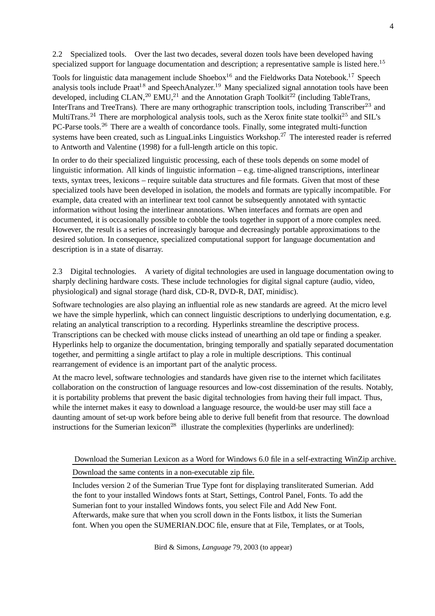2.2 Specialized tools. Over the last two decades, several dozen tools have been developed having specialized support for language documentation and description; a representative sample is listed here.<sup>15</sup>

Tools for linguistic data management include  $\text{Shoebox}^{16}$  and the Fieldworks Data Notebook.<sup>17</sup> Speech analysis tools include Praat<sup>18</sup> and SpeechAnalyzer.<sup>19</sup> Many specialized signal annotation tools have been developed, including CLAN,  $^{20}$  EMU,  $^{21}$  and the Annotation Graph Toolkit<sup>22</sup> (including TableTrans, InterTrans and TreeTrans). There are many orthographic transcription tools, including Transcriber<sup>23</sup> and MultiTrans.<sup>24</sup> There are morphological analysis tools, such as the Xerox finite state toolkit<sup>25</sup> and SIL's PC-Parse tools.<sup>26</sup> There are a wealth of concordance tools. Finally, some integrated multi-function systems have been created, such as LinguaLinks Linguistics Workshop.<sup>27</sup> The interested reader is referred to Antworth and Valentine (1998) for a full-length article on this topic.

In order to do their specialized linguistic processing, each of these tools depends on some model of linguistic information. All kinds of linguistic information – e.g. time-aligned transcriptions, interlinear texts, syntax trees, lexicons – require suitable data structures and file formats. Given that most of these specialized tools have been developed in isolation, the models and formats are typically incompatible. For example, data created with an interlinear text tool cannot be subsequently annotated with syntactic information without losing the interlinear annotations. When interfaces and formats are open and documented, it is occasionally possible to cobble the tools together in support of a more complex need. However, the result is a series of increasingly baroque and decreasingly portable approximations to the desired solution. In consequence, specialized computational support for language documentation and description is in a state of disarray.

2.3 Digital technologies. A variety of digital technologies are used in language documentation owing to sharply declining hardware costs. These include technologies for digital signal capture (audio, video, physiological) and signal storage (hard disk, CD-R, DVD-R, DAT, minidisc).

Software technologies are also playing an influential role as new standards are agreed. At the micro level we have the simple hyperlink, which can connect linguistic descriptions to underlying documentation, e.g. relating an analytical transcription to a recording. Hyperlinks streamline the descriptive process. Transcriptions can be checked with mouse clicks instead of unearthing an old tape or finding a speaker. Hyperlinks help to organize the documentation, bringing temporally and spatially separated documentation together, and permitting a single artifact to play a role in multiple descriptions. This continual rearrangement of evidence is an important part of the analytic process.

At the macro level, software technologies and standards have given rise to the internet which facilitates collaboration on the construction of language resources and low-cost dissemination of the results. Notably, it is portability problems that prevent the basic digital technologies from having their full impact. Thus, while the internet makes it easy to download a language resource, the would-be user may still face a daunting amount of set-up work before being able to derive full benefit from that resource. The download instructions for the Sumerian lexicon<sup>28</sup> illustrate the complexities (hyperlinks are underlined):

Download the Sumerian Lexicon as a Word for Windows 6.0 file in a self-extracting WinZip archive. Download the same contents in a non-executable zip file.

Includes version 2 of the Sumerian True Type font for displaying transliterated Sumerian. Add the font to your installed Windows fonts at Start, Settings, Control Panel, Fonts. To add the Sumerian font to your installed Windows fonts, you select File and Add New Font. Afterwards, make sure that when you scroll down in the Fonts listbox, it lists the Sumerian font. When you open the SUMERIAN.DOC file, ensure that at File, Templates, or at Tools,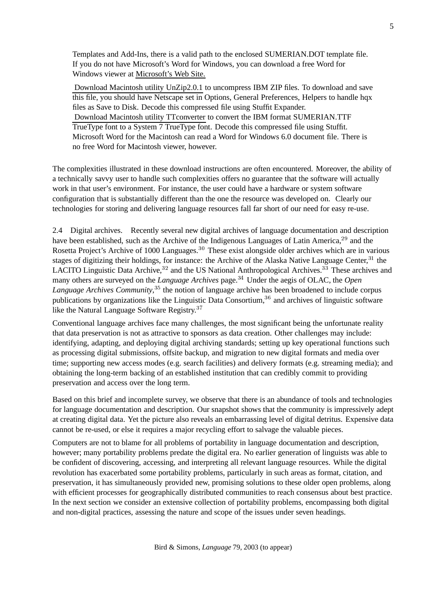Templates and Add-Ins, there is a valid path to the enclosed SUMERIAN.DOT template file. If you do not have Microsoft's Word for Windows, you can download a free Word for Windows viewer at Microsoft's Web Site.

Download Macintosh utility UnZip2.0.1 to uncompress IBM ZIP files. To download and save this file, you should have Netscape set in Options, General Preferences, Helpers to handle hqx files as Save to Disk. Decode this compressed file using Stuffit Expander. Download Macintosh utility TTconverter to convert the IBM format SUMERIAN.TTF TrueType font to a System 7 TrueType font. Decode this compressed file using Stuffit. Microsoft Word for the Macintosh can read a Word for Windows 6.0 document file. There is no free Word for Macintosh viewer, however.

The complexities illustrated in these download instructions are often encountered. Moreover, the ability of a technically savvy user to handle such complexities offers no guarantee that the software will actually work in that user's environment. For instance, the user could have a hardware or system software configuration that is substantially different than the one the resource was developed on. Clearly our technologies for storing and delivering language resources fall far short of our need for easy re-use.

2.4 Digital archives. Recently several new digital archives of language documentation and description have been established, such as the Archive of the Indigenous Languages of Latin America.<sup>29</sup> and the Rosetta Project's Archive of 1000 Languages.<sup>30</sup> These exist alongside older archives which are in various stages of digitizing their holdings, for instance: the Archive of the Alaska Native Language Center,  $31$  the LACITO Linguistic Data Archive,<sup>32</sup> and the US National Anthropological Archives.<sup>33</sup> These archives and many others are surveyed on the *Language Archives* page.<sup>34</sup> Under the aegis of OLAC, the *Open Language Archives Community*,<sup>35</sup> the notion of language archive has been broadened to include corpus publications by organizations like the Linguistic Data Consortium,  $36$  and archives of linguistic software like the Natural Language Software Registry.<sup>37</sup>

Conventional language archives face many challenges, the most significant being the unfortunate reality that data preservation is not as attractive to sponsors as data creation. Other challenges may include: identifying, adapting, and deploying digital archiving standards; setting up key operational functions such as processing digital submissions, offsite backup, and migration to new digital formats and media over time; supporting new access modes (e.g. search facilities) and delivery formats (e.g. streaming media); and obtaining the long-term backing of an established institution that can credibly commit to providing preservation and access over the long term.

Based on this brief and incomplete survey, we observe that there is an abundance of tools and technologies for language documentation and description. Our snapshot shows that the community is impressively adept at creating digital data. Yet the picture also reveals an embarrassing level of digital detritus. Expensive data cannot be re-used, or else it requires a major recycling effort to salvage the valuable pieces.

Computers are not to blame for all problems of portability in language documentation and description, however; many portability problems predate the digital era. No earlier generation of linguists was able to be confident of discovering, accessing, and interpreting all relevant language resources. While the digital revolution has exacerbated some portability problems, particularly in such areas as format, citation, and preservation, it has simultaneously provided new, promising solutions to these older open problems, along with efficient processes for geographically distributed communities to reach consensus about best practice. In the next section we consider an extensive collection of portability problems, encompassing both digital and non-digital practices, assessing the nature and scope of the issues under seven headings.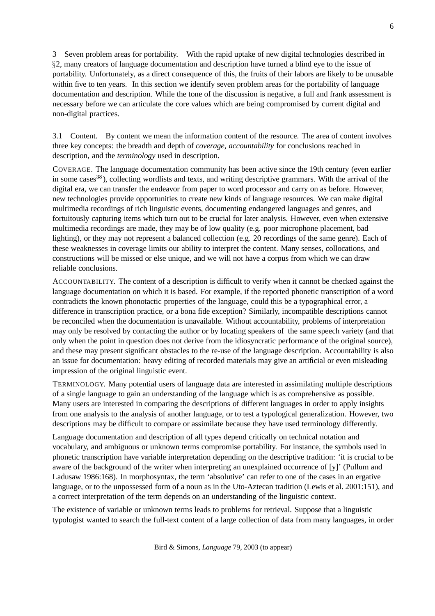3 Seven problem areas for portability. With the rapid uptake of new digital technologies described in <sup>x</sup>2, many creators of language documentation and description have turned a blind eye to the issue of portability. Unfortunately, as a direct consequence of this, the fruits of their labors are likely to be unusable within five to ten years. In this section we identify seven problem areas for the portability of language documentation and description. While the tone of the discussion is negative, a full and frank assessment is necessary before we can articulate the core values which are being compromised by current digital and non-digital practices.

3.1 Content. By content we mean the information content of the resource. The area of content involves three key concepts: the breadth and depth of *coverage*, *accountability* for conclusions reached in description, and the *terminology* used in description.

COVERAGE. The language documentation community has been active since the 19th century (even earlier in some cases $38$ ), collecting wordlists and texts, and writing descriptive grammars. With the arrival of the digital era, we can transfer the endeavor from paper to word processor and carry on as before. However, new technologies provide opportunities to create new kinds of language resources. We can make digital multimedia recordings of rich linguistic events, documenting endangered languages and genres, and fortuitously capturing items which turn out to be crucial for later analysis. However, even when extensive multimedia recordings are made, they may be of low quality (e.g. poor microphone placement, bad lighting), or they may not represent a balanced collection (e.g. 20 recordings of the same genre). Each of these weaknesses in coverage limits our ability to interpret the content. Many senses, collocations, and constructions will be missed or else unique, and we will not have a corpus from which we can draw reliable conclusions.

ACCOUNTABILITY. The content of a description is difficult to verify when it cannot be checked against the language documentation on which it is based. For example, if the reported phonetic transcription of a word contradicts the known phonotactic properties of the language, could this be a typographical error, a difference in transcription practice, or a bona fide exception? Similarly, incompatible descriptions cannot be reconciled when the documentation is unavailable. Without accountability, problems of interpretation may only be resolved by contacting the author or by locating speakers of the same speech variety (and that only when the point in question does not derive from the idiosyncratic performance of the original source), and these may present significant obstacles to the re-use of the language description. Accountability is also an issue for documentation: heavy editing of recorded materials may give an artificial or even misleading impression of the original linguistic event.

TERMINOLOGY. Many potential users of language data are interested in assimilating multiple descriptions of a single language to gain an understanding of the language which is as comprehensive as possible. Many users are interested in comparing the descriptions of different languages in order to apply insights from one analysis to the analysis of another language, or to test a typological generalization. However, two descriptions may be difficult to compare or assimilate because they have used terminology differently.

Language documentation and description of all types depend critically on technical notation and vocabulary, and ambiguous or unknown terms compromise portability. For instance, the symbols used in phonetic transcription have variable interpretation depending on the descriptive tradition: 'it is crucial to be aware of the background of the writer when interpreting an unexplained occurrence of [y]' (Pullum and Ladusaw 1986:168). In morphosyntax, the term 'absolutive' can refer to one of the cases in an ergative language, or to the unpossessed form of a noun as in the Uto-Aztecan tradition (Lewis et al. 2001:151), and a correct interpretation of the term depends on an understanding of the linguistic context.

The existence of variable or unknown terms leads to problems for retrieval. Suppose that a linguistic typologist wanted to search the full-text content of a large collection of data from many languages, in order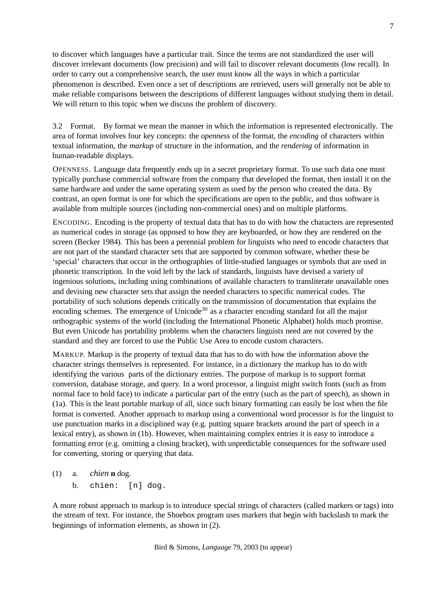to discover which languages have a particular trait. Since the terms are not standardized the user will discover irrelevant documents (low precision) and will fail to discover relevant documents (low recall). In order to carry out a comprehensive search, the user must know all the ways in which a particular phenomenon is described. Even once a set of descriptions are retrieved, users will generally not be able to make reliable comparisons between the descriptions of different languages without studying them in detail. We will return to this topic when we discuss the problem of discovery.

3.2 Format. By format we mean the manner in which the information is represented electronically. The area of format involves four key concepts: the *openness* of the format, the *encoding* of characters within textual information, the *markup* of structure in the information, and the *rendering* of information in human-readable displays.

OPENNESS. Language data frequently ends up in a secret proprietary format. To use such data one must typically purchase commercial software from the company that developed the format, then install it on the same hardware and under the same operating system as used by the person who created the data. By contrast, an open format is one for which the specifications are open to the public, and thus software is available from multiple sources (including non-commercial ones) and on multiple platforms.

ENCODING. Encoding is the property of textual data that has to do with how the characters are represented as numerical codes in storage (as opposed to how they are keyboarded, or how they are rendered on the screen (Becker 1984). This has been a perennial problem for linguists who need to encode characters that are not part of the standard character sets that are supported by common software, whether these be 'special' characters that occur in the orthographies of little-studied languages or symbols that are used in phonetic transcription. In the void left by the lack of standards, linguists have devised a variety of ingenious solutions, including using combinations of available characters to transliterate unavailable ones and devising new character sets that assign the needed characters to specific numerical codes. The portability of such solutions depends critically on the transmission of documentation that explains the encoding schemes. The emergence of Unicode<sup>39</sup> as a character encoding standard for all the major orthographic systems of the world (including the International Phonetic Alphabet) holds much promise. But even Unicode has portability problems when the characters linguists need are not covered by the standard and they are forced to use the Public Use Area to encode custom characters.

MARKUP. Markup is the property of textual data that has to do with how the information above the character strings themselves is represented. For instance, in a dictionary the markup has to do with identifying the various parts of the dictionary entries. The purpose of markup is to support format conversion, database storage, and query. In a word processor, a linguist might switch fonts (such as from normal face to bold face) to indicate a particular part of the entry (such as the part of speech), as shown in (1a). This is the least portable markup of all, since such binary formatting can easily be lost when the file format is converted. Another approach to markup using a conventional word processor is for the linguist to use punctuation marks in a disciplined way (e.g. putting square brackets around the part of speech in a lexical entry), as shown in (1b). However, when maintaining complex entries it is easy to introduce a formatting error (e.g. omitting a closing bracket), with unpredictable consequences for the software used for converting, storing or querying that data.

- (1) a. *chien* **n** dog.
	- b. chien: [n] dog.

A more robust approach to markup is to introduce special strings of characters (called markers or tags) into the stream of text. For instance, the Shoebox program uses markers that begin with backslash to mark the beginnings of information elements, as shown in (2).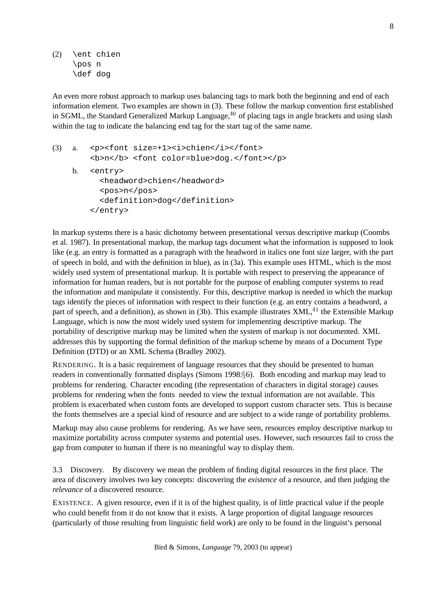(2) \ent chien \pos n \def dog

An even more robust approach to markup uses balancing tags to mark both the beginning and end of each information element. Two examples are shown in (3). These follow the markup convention first established in SGML, the Standard Generalized Markup Language, $40$  of placing tags in angle brackets and using slash within the tag to indicate the balancing end tag for the start tag of the same name.

```
(3) a. <p><font size=+1><i>chien</i>></font>
    <b>n</b> <font color=blue>dog.</font></p>
b. <entry>
      <headword>chien</headword>
      <pos>n</pos>
      <definition>dog</definition>
    </entry>
```
In markup systems there is a basic dichotomy between presentational versus descriptive markup (Coombs et al. 1987). In presentational markup, the markup tags document what the information is supposed to look like (e.g. an entry is formatted as a paragraph with the headword in italics one font size larger, with the part of speech in bold, and with the definition in blue), as in (3a). This example uses HTML, which is the most widely used system of presentational markup. It is portable with respect to preserving the appearance of information for human readers, but is not portable for the purpose of enabling computer systems to read the information and manipulate it consistently. For this, descriptive markup is needed in which the markup tags identify the pieces of information with respect to their function (e.g. an entry contains a headword, a part of speech, and a definition), as shown in (3b). This example illustrates  $XML<sub>i</sub><sup>41</sup>$  the Extensible Markup Language, which is now the most widely used system for implementing descriptive markup. The portability of descriptive markup may be limited when the system of markup is not documented. XML addresses this by supporting the formal definition of the markup scheme by means of a Document Type Definition (DTD) or an XML Schema (Bradley 2002).

RENDERING. It is a basic requirement of language resources that they should be presented to human readers in conventionally formatted displays (Simons 1998:§6). Both encoding and markup may lead to problems for rendering. Character encoding (the representation of characters in digital storage) causes problems for rendering when the fonts needed to view the textual information are not available. This problem is exacerbated when custom fonts are developed to support custom character sets. This is because the fonts themselves are a special kind of resource and are subject to a wide range of portability problems.

Markup may also cause problems for rendering. As we have seen, resources employ descriptive markup to maximize portability across computer systems and potential uses. However, such resources fail to cross the gap from computer to human if there is no meaningful way to display them.

3.3 Discovery. By discovery we mean the problem of finding digital resources in the first place. The area of discovery involves two key concepts: discovering the *existence* of a resource, and then judging the *relevance* of a discovered resource.

EXISTENCE. A given resource, even if it is of the highest quality, is of little practical value if the people who could benefit from it do not know that it exists. A large proportion of digital language resources (particularly of those resulting from linguistic field work) are only to be found in the linguist's personal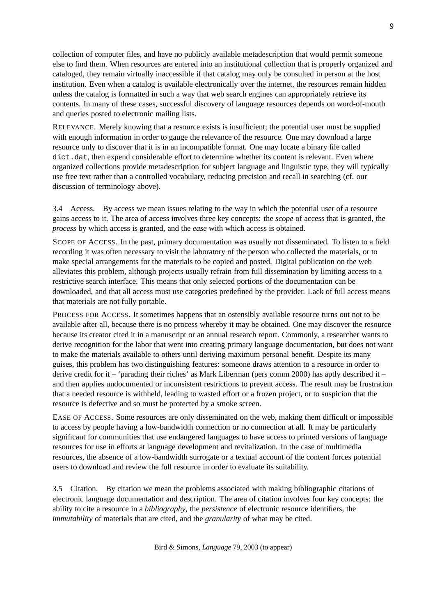collection of computer files, and have no publicly available metadescription that would permit someone else to find them. When resources are entered into an institutional collection that is properly organized and cataloged, they remain virtually inaccessible if that catalog may only be consulted in person at the host institution. Even when a catalog is available electronically over the internet, the resources remain hidden unless the catalog is formatted in such a way that web search engines can appropriately retrieve its contents. In many of these cases, successful discovery of language resources depends on word-of-mouth and queries posted to electronic mailing lists.

RELEVANCE. Merely knowing that a resource exists is insufficient; the potential user must be supplied with enough information in order to gauge the relevance of the resource. One may download a large resource only to discover that it is in an incompatible format. One may locate a binary file called dict.dat, then expend considerable effort to determine whether its content is relevant. Even where organized collections provide metadescription for subject language and linguistic type, they will typically use free text rather than a controlled vocabulary, reducing precision and recall in searching (cf. our discussion of terminology above).

3.4 Access. By access we mean issues relating to the way in which the potential user of a resource gains access to it. The area of access involves three key concepts: the *scope* of access that is granted, the *process* by which access is granted, and the *ease* with which access is obtained.

SCOPE OF ACCESS. In the past, primary documentation was usually not disseminated. To listen to a field recording it was often necessary to visit the laboratory of the person who collected the materials, or to make special arrangements for the materials to be copied and posted. Digital publication on the web alleviates this problem, although projects usually refrain from full dissemination by limiting access to a restrictive search interface. This means that only selected portions of the documentation can be downloaded, and that all access must use categories predefined by the provider. Lack of full access means that materials are not fully portable.

PROCESS FOR ACCESS. It sometimes happens that an ostensibly available resource turns out not to be available after all, because there is no process whereby it may be obtained. One may discover the resource because its creator cited it in a manuscript or an annual research report. Commonly, a researcher wants to derive recognition for the labor that went into creating primary language documentation, but does not want to make the materials available to others until deriving maximum personal benefit. Despite its many guises, this problem has two distinguishing features: someone draws attention to a resource in order to derive credit for it – 'parading their riches' as Mark Liberman (pers comm 2000) has aptly described it – and then applies undocumented or inconsistent restrictions to prevent access. The result may be frustration that a needed resource is withheld, leading to wasted effort or a frozen project, or to suspicion that the resource is defective and so must be protected by a smoke screen.

EASE OF ACCESS. Some resources are only disseminated on the web, making them difficult or impossible to access by people having a low-bandwidth connection or no connection at all. It may be particularly significant for communities that use endangered languages to have access to printed versions of language resources for use in efforts at language development and revitalization. In the case of multimedia resources, the absence of a low-bandwidth surrogate or a textual account of the content forces potential users to download and review the full resource in order to evaluate its suitability.

3.5 Citation. By citation we mean the problems associated with making bibliographic citations of electronic language documentation and description. The area of citation involves four key concepts: the ability to cite a resource in a *bibliography*, the *persistence* of electronic resource identifiers, the *immutability* of materials that are cited, and the *granularity* of what may be cited.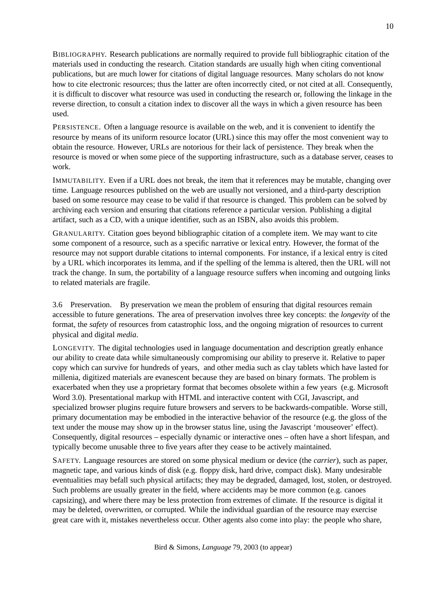BIBLIOGRAPHY. Research publications are normally required to provide full bibliographic citation of the materials used in conducting the research. Citation standards are usually high when citing conventional publications, but are much lower for citations of digital language resources. Many scholars do not know how to cite electronic resources; thus the latter are often incorrectly cited, or not cited at all. Consequently, it is difficult to discover what resource was used in conducting the research or, following the linkage in the reverse direction, to consult a citation index to discover all the ways in which a given resource has been used.

PERSISTENCE. Often a language resource is available on the web, and it is convenient to identify the resource by means of its uniform resource locator (URL) since this may offer the most convenient way to obtain the resource. However, URLs are notorious for their lack of persistence. They break when the resource is moved or when some piece of the supporting infrastructure, such as a database server, ceases to work.

IMMUTABILITY. Even if a URL does not break, the item that it references may be mutable, changing over time. Language resources published on the web are usually not versioned, and a third-party description based on some resource may cease to be valid if that resource is changed. This problem can be solved by archiving each version and ensuring that citations reference a particular version. Publishing a digital artifact, such as a CD, with a unique identifier, such as an ISBN, also avoids this problem.

GRANULARITY. Citation goes beyond bibliographic citation of a complete item. We may want to cite some component of a resource, such as a specific narrative or lexical entry. However, the format of the resource may not support durable citations to internal components. For instance, if a lexical entry is cited by a URL which incorporates its lemma, and if the spelling of the lemma is altered, then the URL will not track the change. In sum, the portability of a language resource suffers when incoming and outgoing links to related materials are fragile.

3.6 Preservation. By preservation we mean the problem of ensuring that digital resources remain accessible to future generations. The area of preservation involves three key concepts: the *longevity* of the format, the *safety* of resources from catastrophic loss, and the ongoing migration of resources to current physical and digital *media*.

LONGEVITY. The digital technologies used in language documentation and description greatly enhance our ability to create data while simultaneously compromising our ability to preserve it. Relative to paper copy which can survive for hundreds of years, and other media such as clay tablets which have lasted for millenia, digitized materials are evanescent because they are based on binary formats. The problem is exacerbated when they use a proprietary format that becomes obsolete within a few years (e.g. Microsoft Word 3.0). Presentational markup with HTML and interactive content with CGI, Javascript, and specialized browser plugins require future browsers and servers to be backwards-compatible. Worse still, primary documentation may be embodied in the interactive behavior of the resource (e.g. the gloss of the text under the mouse may show up in the browser status line, using the Javascript 'mouseover' effect). Consequently, digital resources – especially dynamic or interactive ones – often have a short lifespan, and typically become unusable three to five years after they cease to be actively maintained.

SAFETY. Language resources are stored on some physical medium or device (the *carrier*), such as paper, magnetic tape, and various kinds of disk (e.g. floppy disk, hard drive, compact disk). Many undesirable eventualities may befall such physical artifacts; they may be degraded, damaged, lost, stolen, or destroyed. Such problems are usually greater in the field, where accidents may be more common (e.g. canoes capsizing), and where there may be less protection from extremes of climate. If the resource is digital it may be deleted, overwritten, or corrupted. While the individual guardian of the resource may exercise great care with it, mistakes nevertheless occur. Other agents also come into play: the people who share,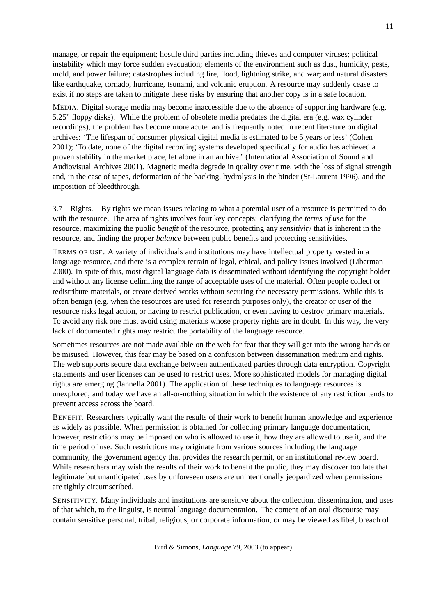manage, or repair the equipment; hostile third parties including thieves and computer viruses; political instability which may force sudden evacuation; elements of the environment such as dust, humidity, pests, mold, and power failure; catastrophes including fire, flood, lightning strike, and war; and natural disasters like earthquake, tornado, hurricane, tsunami, and volcanic eruption. A resource may suddenly cease to exist if no steps are taken to mitigate these risks by ensuring that another copy is in a safe location.

MEDIA. Digital storage media may become inaccessible due to the absence of supporting hardware (e.g. 5.25" floppy disks). While the problem of obsolete media predates the digital era (e.g. wax cylinder recordings), the problem has become more acute and is frequently noted in recent literature on digital archives: 'The lifespan of consumer physical digital media is estimated to be 5 years or less' (Cohen 2001); 'To date, none of the digital recording systems developed specifically for audio has achieved a proven stability in the market place, let alone in an archive.' (International Association of Sound and Audiovisual Archives 2001). Magnetic media degrade in quality over time, with the loss of signal strength and, in the case of tapes, deformation of the backing, hydrolysis in the binder (St-Laurent 1996), and the imposition of bleedthrough.

3.7 Rights. By rights we mean issues relating to what a potential user of a resource is permitted to do with the resource. The area of rights involves four key concepts: clarifying the *terms of use* for the resource, maximizing the public *benefit* of the resource, protecting any *sensitivity* that is inherent in the resource, and finding the proper *balance* between public benefits and protecting sensitivities.

TERMS OF USE. A variety of individuals and institutions may have intellectual property vested in a language resource, and there is a complex terrain of legal, ethical, and policy issues involved (Liberman 2000). In spite of this, most digital language data is disseminated without identifying the copyright holder and without any license delimiting the range of acceptable uses of the material. Often people collect or redistribute materials, or create derived works without securing the necessary permissions. While this is often benign (e.g. when the resources are used for research purposes only), the creator or user of the resource risks legal action, or having to restrict publication, or even having to destroy primary materials. To avoid any risk one must avoid using materials whose property rights are in doubt. In this way, the very lack of documented rights may restrict the portability of the language resource.

Sometimes resources are not made available on the web for fear that they will get into the wrong hands or be misused. However, this fear may be based on a confusion between dissemination medium and rights. The web supports secure data exchange between authenticated parties through data encryption. Copyright statements and user licenses can be used to restrict uses. More sophisticated models for managing digital rights are emerging (Iannella 2001). The application of these techniques to language resources is unexplored, and today we have an all-or-nothing situation in which the existence of any restriction tends to prevent access across the board.

BENEFIT. Researchers typically want the results of their work to benefit human knowledge and experience as widely as possible. When permission is obtained for collecting primary language documentation, however, restrictions may be imposed on who is allowed to use it, how they are allowed to use it, and the time period of use. Such restrictions may originate from various sources including the language community, the government agency that provides the research permit, or an institutional review board. While researchers may wish the results of their work to benefit the public, they may discover too late that legitimate but unanticipated uses by unforeseen users are unintentionally jeopardized when permissions are tightly circumscribed.

SENSITIVITY. Many individuals and institutions are sensitive about the collection, dissemination, and uses of that which, to the linguist, is neutral language documentation. The content of an oral discourse may contain sensitive personal, tribal, religious, or corporate information, or may be viewed as libel, breach of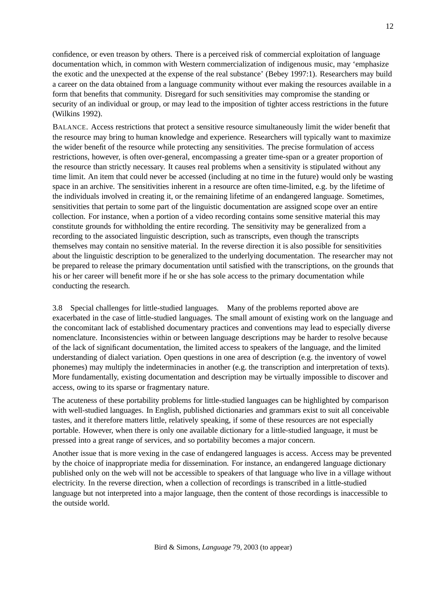confidence, or even treason by others. There is a perceived risk of commercial exploitation of language documentation which, in common with Western commercialization of indigenous music, may 'emphasize the exotic and the unexpected at the expense of the real substance' (Bebey 1997:1). Researchers may build a career on the data obtained from a language community without ever making the resources available in a form that benefits that community. Disregard for such sensitivities may compromise the standing or security of an individual or group, or may lead to the imposition of tighter access restrictions in the future (Wilkins 1992).

BALANCE. Access restrictions that protect a sensitive resource simultaneously limit the wider benefit that the resource may bring to human knowledge and experience. Researchers will typically want to maximize the wider benefit of the resource while protecting any sensitivities. The precise formulation of access restrictions, however, is often over-general, encompassing a greater time-span or a greater proportion of the resource than strictly necessary. It causes real problems when a sensitivity is stipulated without any time limit. An item that could never be accessed (including at no time in the future) would only be wasting space in an archive. The sensitivities inherent in a resource are often time-limited, e.g. by the lifetime of the individuals involved in creating it, or the remaining lifetime of an endangered language. Sometimes, sensitivities that pertain to some part of the linguistic documentation are assigned scope over an entire collection. For instance, when a portion of a video recording contains some sensitive material this may constitute grounds for withholding the entire recording. The sensitivity may be generalized from a recording to the associated linguistic description, such as transcripts, even though the transcripts themselves may contain no sensitive material. In the reverse direction it is also possible for sensitivities about the linguistic description to be generalized to the underlying documentation. The researcher may not be prepared to release the primary documentation until satisfied with the transcriptions, on the grounds that his or her career will benefit more if he or she has sole access to the primary documentation while conducting the research.

3.8 Special challenges for little-studied languages. Many of the problems reported above are exacerbated in the case of little-studied languages. The small amount of existing work on the language and the concomitant lack of established documentary practices and conventions may lead to especially diverse nomenclature. Inconsistencies within or between language descriptions may be harder to resolve because of the lack of significant documentation, the limited access to speakers of the language, and the limited understanding of dialect variation. Open questions in one area of description (e.g. the inventory of vowel phonemes) may multiply the indeterminacies in another (e.g. the transcription and interpretation of texts). More fundamentally, existing documentation and description may be virtually impossible to discover and access, owing to its sparse or fragmentary nature.

The acuteness of these portability problems for little-studied languages can be highlighted by comparison with well-studied languages. In English, published dictionaries and grammars exist to suit all conceivable tastes, and it therefore matters little, relatively speaking, if some of these resources are not especially portable. However, when there is only one available dictionary for a little-studied language, it must be pressed into a great range of services, and so portability becomes a major concern.

Another issue that is more vexing in the case of endangered languages is access. Access may be prevented by the choice of inappropriate media for dissemination. For instance, an endangered language dictionary published only on the web will not be accessible to speakers of that language who live in a village without electricity. In the reverse direction, when a collection of recordings is transcribed in a little-studied language but not interpreted into a major language, then the content of those recordings is inaccessible to the outside world.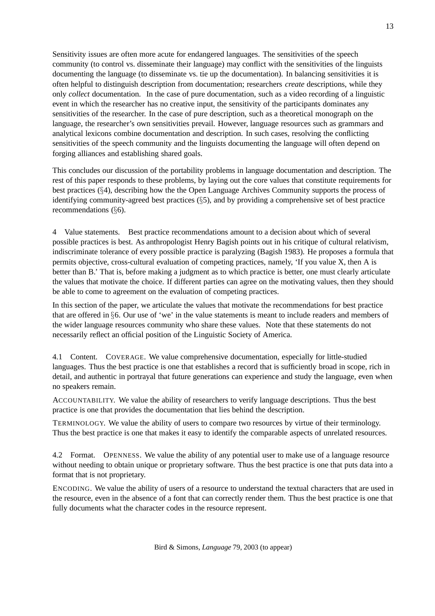Sensitivity issues are often more acute for endangered languages. The sensitivities of the speech community (to control vs. disseminate their language) may conflict with the sensitivities of the linguists documenting the language (to disseminate vs. tie up the documentation). In balancing sensitivities it is often helpful to distinguish description from documentation; researchers *create* descriptions, while they only *collect* documentation. In the case of pure documentation, such as a video recording of a linguistic event in which the researcher has no creative input, the sensitivity of the participants dominates any sensitivities of the researcher. In the case of pure description, such as a theoretical monograph on the language, the researcher's own sensitivities prevail. However, language resources such as grammars and analytical lexicons combine documentation and description. In such cases, resolving the conflicting sensitivities of the speech community and the linguists documenting the language will often depend on forging alliances and establishing shared goals.

This concludes our discussion of the portability problems in language documentation and description. The rest of this paper responds to these problems, by laying out the core values that constitute requirements for best practices  $(\S 4)$ , describing how the the Open Language Archives Community supports the process of identifying community-agreed best practices  $(\S5)$ , and by providing a comprehensive set of best practice recommendations  $(\S 6)$ .

4 Value statements. Best practice recommendations amount to a decision about which of several possible practices is best. As anthropologist Henry Bagish points out in his critique of cultural relativism, indiscriminate tolerance of every possible practice is paralyzing (Bagish 1983). He proposes a formula that permits objective, cross-cultural evaluation of competing practices, namely, 'If you value X, then A is better than B.' That is, before making a judgment as to which practice is better, one must clearly articulate the values that motivate the choice. If different parties can agree on the motivating values, then they should be able to come to agreement on the evaluation of competing practices.

In this section of the paper, we articulate the values that motivate the recommendations for best practice that are offered in  $\S6$ . Our use of 'we' in the value statements is meant to include readers and members of the wider language resources community who share these values. Note that these statements do not necessarily reflect an official position of the Linguistic Society of America.

4.1 Content. COVERAGE. We value comprehensive documentation, especially for little-studied languages. Thus the best practice is one that establishes a record that is sufficiently broad in scope, rich in detail, and authentic in portrayal that future generations can experience and study the language, even when no speakers remain.

ACCOUNTABILITY. We value the ability of researchers to verify language descriptions. Thus the best practice is one that provides the documentation that lies behind the description.

TERMINOLOGY. We value the ability of users to compare two resources by virtue of their terminology. Thus the best practice is one that makes it easy to identify the comparable aspects of unrelated resources.

4.2 Format. OPENNESS. We value the ability of any potential user to make use of a language resource without needing to obtain unique or proprietary software. Thus the best practice is one that puts data into a format that is not proprietary.

ENCODING. We value the ability of users of a resource to understand the textual characters that are used in the resource, even in the absence of a font that can correctly render them. Thus the best practice is one that fully documents what the character codes in the resource represent.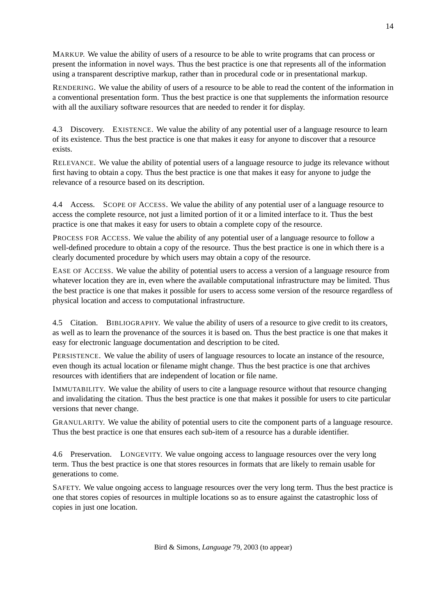MARKUP. We value the ability of users of a resource to be able to write programs that can process or present the information in novel ways. Thus the best practice is one that represents all of the information using a transparent descriptive markup, rather than in procedural code or in presentational markup.

RENDERING. We value the ability of users of a resource to be able to read the content of the information in a conventional presentation form. Thus the best practice is one that supplements the information resource with all the auxiliary software resources that are needed to render it for display.

4.3 Discovery. EXISTENCE. We value the ability of any potential user of a language resource to learn of its existence. Thus the best practice is one that makes it easy for anyone to discover that a resource exists.

RELEVANCE. We value the ability of potential users of a language resource to judge its relevance without first having to obtain a copy. Thus the best practice is one that makes it easy for anyone to judge the relevance of a resource based on its description.

4.4 Access. SCOPE OF ACCESS. We value the ability of any potential user of a language resource to access the complete resource, not just a limited portion of it or a limited interface to it. Thus the best practice is one that makes it easy for users to obtain a complete copy of the resource.

PROCESS FOR ACCESS. We value the ability of any potential user of a language resource to follow a well-defined procedure to obtain a copy of the resource. Thus the best practice is one in which there is a clearly documented procedure by which users may obtain a copy of the resource.

EASE OF ACCESS. We value the ability of potential users to access a version of a language resource from whatever location they are in, even where the available computational infrastructure may be limited. Thus the best practice is one that makes it possible for users to access some version of the resource regardless of physical location and access to computational infrastructure.

4.5 Citation. BIBLIOGRAPHY. We value the ability of users of a resource to give credit to its creators, as well as to learn the provenance of the sources it is based on. Thus the best practice is one that makes it easy for electronic language documentation and description to be cited.

PERSISTENCE. We value the ability of users of language resources to locate an instance of the resource, even though its actual location or filename might change. Thus the best practice is one that archives resources with identifiers that are independent of location or file name.

IMMUTABILITY. We value the ability of users to cite a language resource without that resource changing and invalidating the citation. Thus the best practice is one that makes it possible for users to cite particular versions that never change.

GRANULARITY. We value the ability of potential users to cite the component parts of a language resource. Thus the best practice is one that ensures each sub-item of a resource has a durable identifier.

4.6 Preservation. LONGEVITY. We value ongoing access to language resources over the very long term. Thus the best practice is one that stores resources in formats that are likely to remain usable for generations to come.

SAFETY. We value ongoing access to language resources over the very long term. Thus the best practice is one that stores copies of resources in multiple locations so as to ensure against the catastrophic loss of copies in just one location.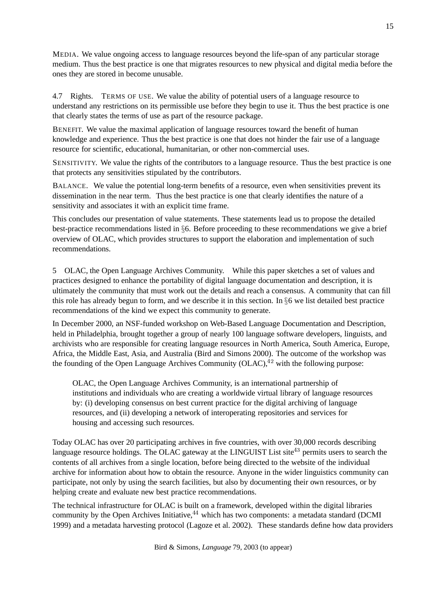MEDIA. We value ongoing access to language resources beyond the life-span of any particular storage medium. Thus the best practice is one that migrates resources to new physical and digital media before the ones they are stored in become unusable.

4.7 Rights. TERMS OF USE. We value the ability of potential users of a language resource to understand any restrictions on its permissible use before they begin to use it. Thus the best practice is one that clearly states the terms of use as part of the resource package.

BENEFIT. We value the maximal application of language resources toward the benefit of human knowledge and experience. Thus the best practice is one that does not hinder the fair use of a language resource for scientific, educational, humanitarian, or other non-commercial uses.

SENSITIVITY. We value the rights of the contributors to a language resource. Thus the best practice is one that protects any sensitivities stipulated by the contributors.

BALANCE. We value the potential long-term benefits of a resource, even when sensitivities prevent its dissemination in the near term. Thus the best practice is one that clearly identifies the nature of a sensitivity and associates it with an explicit time frame.

This concludes our presentation of value statements. These statements lead us to propose the detailed best-practice recommendations listed in  $66$ . Before proceeding to these recommendations we give a brief overview of OLAC, which provides structures to support the elaboration and implementation of such recommendations.

5 OLAC, the Open Language Archives Community. While this paper sketches a set of values and practices designed to enhance the portability of digital language documentation and description, it is ultimately the community that must work out the details and reach a consensus. A community that can fill this role has already begun to form, and we describe it in this section. In  $\S6$  we list detailed best practice recommendations of the kind we expect this community to generate.

In December 2000, an NSF-funded workshop on Web-Based Language Documentation and Description, held in Philadelphia, brought together a group of nearly 100 language software developers, linguists, and archivists who are responsible for creating language resources in North America, South America, Europe, Africa, the Middle East, Asia, and Australia (Bird and Simons 2000). The outcome of the workshop was the founding of the Open Language Archives Community (OLAC), $42$  with the following purpose:

OLAC, the Open Language Archives Community, is an international partnership of institutions and individuals who are creating a worldwide virtual library of language resources by: (i) developing consensus on best current practice for the digital archiving of language resources, and (ii) developing a network of interoperating repositories and services for housing and accessing such resources.

Today OLAC has over 20 participating archives in five countries, with over 30,000 records describing language resource holdings. The OLAC gateway at the LINGUIST List site<sup>43</sup> permits users to search the contents of all archives from a single location, before being directed to the website of the individual archive for information about how to obtain the resource. Anyone in the wider linguistics community can participate, not only by using the search facilities, but also by documenting their own resources, or by helping create and evaluate new best practice recommendations.

The technical infrastructure for OLAC is built on a framework, developed within the digital libraries community by the Open Archives Initiative,  $44$  which has two components: a metadata standard (DCMI 1999) and a metadata harvesting protocol (Lagoze et al. 2002). These standards define how data providers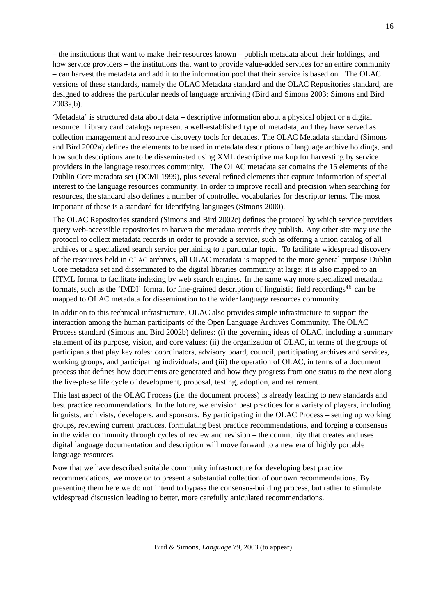– the institutions that want to make their resources known – publish metadata about their holdings, and how service providers – the institutions that want to provide value-added services for an entire community – can harvest the metadata and add it to the information pool that their service is based on. The OLAC versions of these standards, namely the OLAC Metadata standard and the OLAC Repositories standard, are designed to address the particular needs of language archiving (Bird and Simons 2003; Simons and Bird 2003a,b).

'Metadata' is structured data about data – descriptive information about a physical object or a digital resource. Library card catalogs represent a well-established type of metadata, and they have served as collection management and resource discovery tools for decades. The OLAC Metadata standard (Simons and Bird 2002a) defines the elements to be used in metadata descriptions of language archive holdings, and how such descriptions are to be disseminated using XML descriptive markup for harvesting by service providers in the language resources community. The OLAC metadata set contains the 15 elements of the Dublin Core metadata set (DCMI 1999), plus several refined elements that capture information of special interest to the language resources community. In order to improve recall and precision when searching for resources, the standard also defines a number of controlled vocabularies for descriptor terms. The most important of these is a standard for identifying languages (Simons 2000).

The OLAC Repositories standard (Simons and Bird 2002c) defines the protocol by which service providers query web-accessible repositories to harvest the metadata records they publish. Any other site may use the protocol to collect metadata records in order to provide a service, such as offering a union catalog of all archives or a specialized search service pertaining to a particular topic. To facilitate widespread discovery of the resources held in OLAC archives, all OLAC metadata is mapped to the more general purpose Dublin Core metadata set and disseminated to the digital libraries community at large; it is also mapped to an HTML format to facilitate indexing by web search engines. In the same way more specialized metadata formats, such as the 'IMDI' format for fine-grained description of linguistic field recordings<sup>45</sup> can be mapped to OLAC metadata for dissemination to the wider language resources community.

In addition to this technical infrastructure, OLAC also provides simple infrastructure to support the interaction among the human participants of the Open Language Archives Community. The OLAC Process standard (Simons and Bird 2002b) defines: (i) the governing ideas of OLAC, including a summary statement of its purpose, vision, and core values; (ii) the organization of OLAC, in terms of the groups of participants that play key roles: coordinators, advisory board, council, participating archives and services, working groups, and participating individuals; and (iii) the operation of OLAC, in terms of a document process that defines how documents are generated and how they progress from one status to the next along the five-phase life cycle of development, proposal, testing, adoption, and retirement.

This last aspect of the OLAC Process (i.e. the document process) is already leading to new standards and best practice recommendations. In the future, we envision best practices for a variety of players, including linguists, archivists, developers, and sponsors. By participating in the OLAC Process – setting up working groups, reviewing current practices, formulating best practice recommendations, and forging a consensus in the wider community through cycles of review and revision – the community that creates and uses digital language documentation and description will move forward to a new era of highly portable language resources.

Now that we have described suitable community infrastructure for developing best practice recommendations, we move on to present a substantial collection of our own recommendations. By presenting them here we do not intend to bypass the consensus-building process, but rather to stimulate widespread discussion leading to better, more carefully articulated recommendations.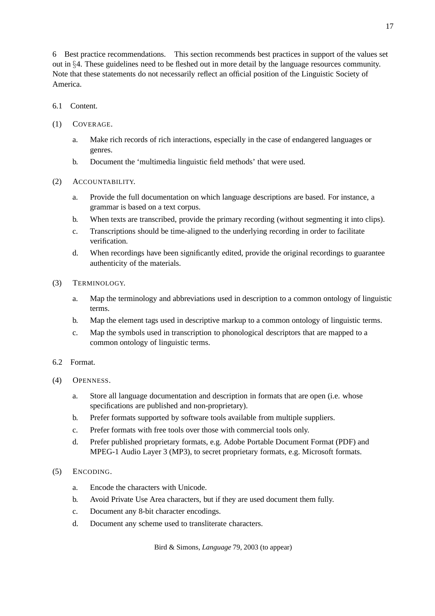6 Best practice recommendations. This section recommends best practices in support of the values set out in <sup>x</sup>4. These guidelines need to be fleshed out in more detail by the language resources community. Note that these statements do not necessarily reflect an official position of the Linguistic Society of America.

- 6.1 Content.
- (1) COVERAGE.
	- a. Make rich records of rich interactions, especially in the case of endangered languages or genres.
	- b. Document the 'multimedia linguistic field methods' that were used.

## (2) ACCOUNTABILITY.

- a. Provide the full documentation on which language descriptions are based. For instance, a grammar is based on a text corpus.
- b. When texts are transcribed, provide the primary recording (without segmenting it into clips).
- c. Transcriptions should be time-aligned to the underlying recording in order to facilitate verification.
- d. When recordings have been significantly edited, provide the original recordings to guarantee authenticity of the materials.
- (3) TERMINOLOGY.
	- a. Map the terminology and abbreviations used in description to a common ontology of linguistic terms.
	- b. Map the element tags used in descriptive markup to a common ontology of linguistic terms.
	- c. Map the symbols used in transcription to phonological descriptors that are mapped to a common ontology of linguistic terms.

## 6.2 Format.

- (4) OPENNESS.
	- a. Store all language documentation and description in formats that are open (i.e. whose specifications are published and non-proprietary).
	- b. Prefer formats supported by software tools available from multiple suppliers.
	- c. Prefer formats with free tools over those with commercial tools only.
	- d. Prefer published proprietary formats, e.g. Adobe Portable Document Format (PDF) and MPEG-1 Audio Layer 3 (MP3), to secret proprietary formats, e.g. Microsoft formats.

## (5) ENCODING.

- a. Encode the characters with Unicode.
- b. Avoid Private Use Area characters, but if they are used document them fully.
- c. Document any 8-bit character encodings.
- d. Document any scheme used to transliterate characters.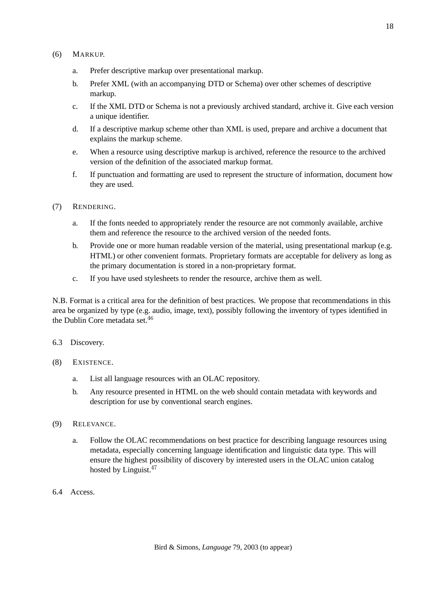- (6) MARKUP.
	- a. Prefer descriptive markup over presentational markup.
	- b. Prefer XML (with an accompanying DTD or Schema) over other schemes of descriptive markup.
	- c. If the XML DTD or Schema is not a previously archived standard, archive it. Give each version a unique identifier.
	- d. If a descriptive markup scheme other than XML is used, prepare and archive a document that explains the markup scheme.
	- e. When a resource using descriptive markup is archived, reference the resource to the archived version of the definition of the associated markup format.
	- f. If punctuation and formatting are used to represent the structure of information, document how they are used.
- (7) RENDERING.
	- a. If the fonts needed to appropriately render the resource are not commonly available, archive them and reference the resource to the archived version of the needed fonts.
	- b. Provide one or more human readable version of the material, using presentational markup (e.g. HTML) or other convenient formats. Proprietary formats are acceptable for delivery as long as the primary documentation is stored in a non-proprietary format.
	- c. If you have used stylesheets to render the resource, archive them as well.

N.B. Format is a critical area for the definition of best practices. We propose that recommendations in this area be organized by type (e.g. audio, image, text), possibly following the inventory of types identified in the Dublin Core metadata set.<sup>46</sup>

- 6.3 Discovery.
- (8) EXISTENCE.
	- a. List all language resources with an OLAC repository.
	- b. Any resource presented in HTML on the web should contain metadata with keywords and description for use by conventional search engines.
- (9) RELEVANCE.
	- a. Follow the OLAC recommendations on best practice for describing language resources using metadata, especially concerning language identification and linguistic data type. This will ensure the highest possibility of discovery by interested users in the OLAC union catalog hosted by Linguist.<sup>47</sup>
- 6.4 Access.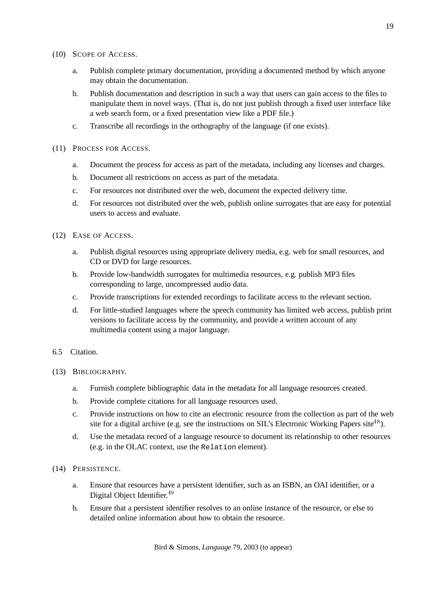- (10) SCOPE OF ACCESS.
	- a. Publish complete primary documentation, providing a documented method by which anyone may obtain the documentation.
	- b. Publish documentation and description in such a way that users can gain access to the files to manipulate them in novel ways. (That is, do not just publish through a fixed user interface like a web search form, or a fixed presentation view like a PDF file.)
	- c. Transcribe all recordings in the orthography of the language (if one exists).
- (11) PROCESS FOR ACCESS.
	- a. Document the process for access as part of the metadata, including any licenses and charges.
	- b. Document all restrictions on access as part of the metadata.
	- c. For resources not distributed over the web, document the expected delivery time.
	- d. For resources not distributed over the web, publish online surrogates that are easy for potential users to access and evaluate.
- (12) EASE OF ACCESS.
	- a. Publish digital resources using appropriate delivery media, e.g. web for small resources, and CD or DVD for large resources.
	- b. Provide low-bandwidth surrogates for multimedia resources, e.g. publish MP3 files corresponding to large, uncompressed audio data.
	- c. Provide transcriptions for extended recordings to facilitate access to the relevant section.
	- d. For little-studied languages where the speech community has limited web access, publish print versions to facilitate access by the community, and provide a written account of any multimedia content using a major language.
- 6.5 Citation.
- (13) BIBLIOGRAPHY.
	- a. Furnish complete bibliographic data in the metadata for all language resources created.
	- b. Provide complete citations for all language resources used.
	- c. Provide instructions on how to cite an electronic resource from the collection as part of the web site for a digital archive (e.g. see the instructions on SIL's Electronic Working Papers site<sup>48</sup>).
	- d. Use the metadata record of a language resource to document its relationship to other resources (e.g. in the OLAC context, use the Relation element).
- (14) PERSISTENCE.
	- a. Ensure that resources have a persistent identifier, such as an ISBN, an OAI identifier, or a Digital Object Identifier.<sup>49</sup>
	- b. Ensure that a persistent identifier resolves to an online instance of the resource, or else to detailed online information about how to obtain the resource.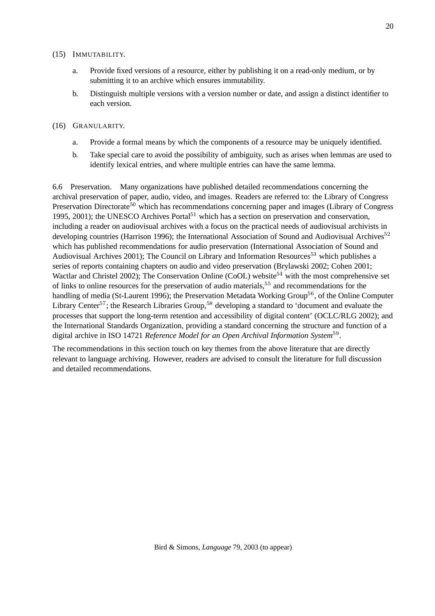#### (15) IMMUTABILITY.

- a. Provide fixed versions of a resource, either by publishing it on a read-only medium, or by submitting it to an archive which ensures immutability.
- b. Distinguish multiple versions with a version number or date, and assign a distinct identifier to each version.

### (16) GRANULARITY.

- a. Provide a formal means by which the components of a resource may be uniquely identified.
- b. Take special care to avoid the possibility of ambiguity, such as arises when lemmas are used to identify lexical entries, and where multiple entries can have the same lemma.

6.6 Preservation. Many organizations have published detailed recommendations concerning the archival preservation of paper, audio, video, and images. Readers are referred to: the Library of Congress Preservation Directorate<sup>50</sup> which has recommendations concerning paper and images (Library of Congress) 1995, 2001); the UNESCO Archives Portal<sup>51</sup> which has a section on preservation and conservation, including a reader on audiovisual archives with a focus on the practical needs of audiovisual archivists in developing countries (Harrison 1996); the International Association of Sound and Audiovisual Archives<sup>52</sup> which has published recommendations for audio preservation (International Association of Sound and Audiovisual Archives 2001); The Council on Library and Information Resources<sup>53</sup> which publishes a series of reports containing chapters on audio and video preservation (Brylawski 2002; Cohen 2001; Wactlar and Christel 2002); The Conservation Online (CoOL) website<sup>54</sup> with the most comprehensive set of links to online resources for the preservation of audio materials,<sup>55</sup> and recommendations for the handling of media (St-Laurent 1996); the Preservation Metadata Working Group<sup>56</sup>, of the Online Computer Library Center<sup>57</sup>; the Research Libraries Group,<sup>58</sup> developing a standard to 'document and evaluate the processes that support the long-term retention and accessibility of digital content' (OCLC/RLG 2002); and the International Standards Organization, providing a standard concerning the structure and function of a digital archive in ISO 14721 *Reference Model for an Open Archival Information System*<sup>59</sup>.

The recommendations in this section touch on key themes from the above literature that are directly relevant to language archiving. However, readers are advised to consult the literature for full discussion and detailed recommendations.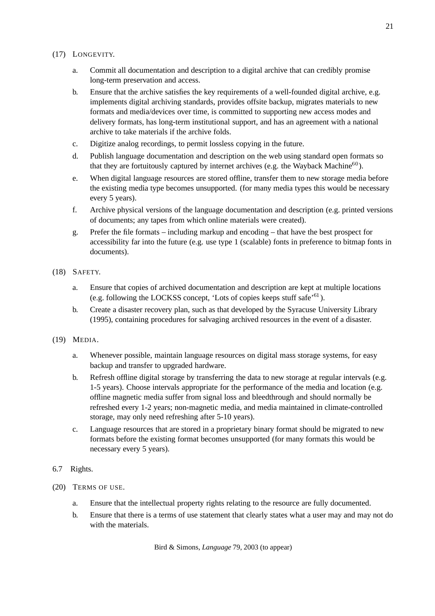- (17) LONGEVITY.
	- a. Commit all documentation and description to a digital archive that can credibly promise long-term preservation and access.
	- b. Ensure that the archive satisfies the key requirements of a well-founded digital archive, e.g. implements digital archiving standards, provides offsite backup, migrates materials to new formats and media/devices over time, is committed to supporting new access modes and delivery formats, has long-term institutional support, and has an agreement with a national archive to take materials if the archive folds.
	- c. Digitize analog recordings, to permit lossless copying in the future.
	- d. Publish language documentation and description on the web using standard open formats so that they are fortuitously captured by internet archives (e.g. the Wayback Machine<sup>60</sup>).
	- e. When digital language resources are stored offline, transfer them to new storage media before the existing media type becomes unsupported. (for many media types this would be necessary every 5 years).
	- f. Archive physical versions of the language documentation and description (e.g. printed versions of documents; any tapes from which online materials were created).
	- g. Prefer the file formats including markup and encoding that have the best prospect for accessibility far into the future (e.g. use type 1 (scalable) fonts in preference to bitmap fonts in documents).

# (18) SAFETY.

- a. Ensure that copies of archived documentation and description are kept at multiple locations (e.g. following the LOCKSS concept, 'Lots of copies keeps stuff safe'<sup>61</sup>).
- b. Create a disaster recovery plan, such as that developed by the Syracuse University Library (1995), containing procedures for salvaging archived resources in the event of a disaster.
- (19) MEDIA.
	- a. Whenever possible, maintain language resources on digital mass storage systems, for easy backup and transfer to upgraded hardware.
	- b. Refresh offline digital storage by transferring the data to new storage at regular intervals (e.g. 1-5 years). Choose intervals appropriate for the performance of the media and location (e.g. offline magnetic media suffer from signal loss and bleedthrough and should normally be refreshed every 1-2 years; non-magnetic media, and media maintained in climate-controlled storage, may only need refreshing after 5-10 years).
	- c. Language resources that are stored in a proprietary binary format should be migrated to new formats before the existing format becomes unsupported (for many formats this would be necessary every 5 years).
- 6.7 Rights.
- (20) TERMS OF USE.
	- a. Ensure that the intellectual property rights relating to the resource are fully documented.
	- b. Ensure that there is a terms of use statement that clearly states what a user may and may not do with the materials.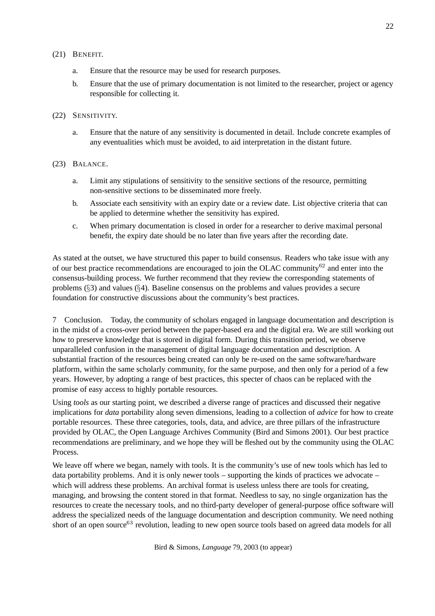## (21) BENEFIT.

- a. Ensure that the resource may be used for research purposes.
- b. Ensure that the use of primary documentation is not limited to the researcher, project or agency responsible for collecting it.

### (22) SENSITIVITY.

a. Ensure that the nature of any sensitivity is documented in detail. Include concrete examples of any eventualities which must be avoided, to aid interpretation in the distant future.

### (23) BALANCE.

- a. Limit any stipulations of sensitivity to the sensitive sections of the resource, permitting non-sensitive sections to be disseminated more freely.
- b. Associate each sensitivity with an expiry date or a review date. List objective criteria that can be applied to determine whether the sensitivity has expired.
- c. When primary documentation is closed in order for a researcher to derive maximal personal benefit, the expiry date should be no later than five years after the recording date.

As stated at the outset, we have structured this paper to build consensus. Readers who take issue with any of our best practice recommendations are encouraged to join the OLAC community<sup>62</sup> and enter into the consensus-building process. We further recommend that they review the corresponding statements of problems  $(\S_3)$  and values  $(\S_4)$ . Baseline consensus on the problems and values provides a secure foundation for constructive discussions about the community's best practices.

7 Conclusion. Today, the community of scholars engaged in language documentation and description is in the midst of a cross-over period between the paper-based era and the digital era. We are still working out how to preserve knowledge that is stored in digital form. During this transition period, we observe unparalleled confusion in the management of digital language documentation and description. A substantial fraction of the resources being created can only be re-used on the same software/hardware platform, within the same scholarly community, for the same purpose, and then only for a period of a few years. However, by adopting a range of best practices, this specter of chaos can be replaced with the promise of easy access to highly portable resources.

Using *tools* as our starting point, we described a diverse range of practices and discussed their negative implications for *data* portability along seven dimensions, leading to a collection of *advice* for how to create portable resources. These three categories, tools, data, and advice, are three pillars of the infrastructure provided by OLAC, the Open Language Archives Community (Bird and Simons 2001). Our best practice recommendations are preliminary, and we hope they will be fleshed out by the community using the OLAC Process.

We leave off where we began, namely with tools. It is the community's use of new tools which has led to data portability problems. And it is only newer tools – supporting the kinds of practices we advocate – which will address these problems. An archival format is useless unless there are tools for creating, managing, and browsing the content stored in that format. Needless to say, no single organization has the resources to create the necessary tools, and no third-party developer of general-purpose office software will address the specialized needs of the language documentation and description community. We need nothing short of an open source<sup>63</sup> revolution, leading to new open source tools based on agreed data models for all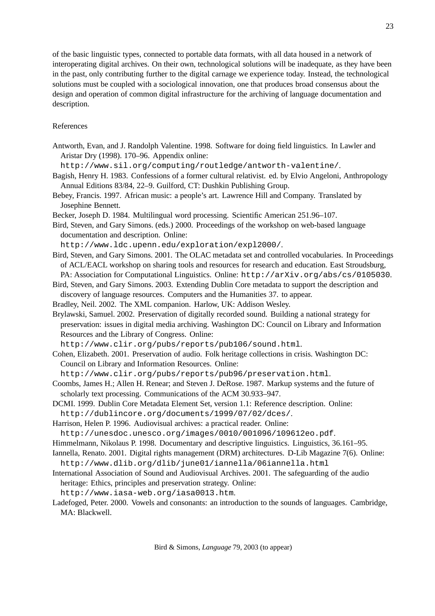of the basic linguistic types, connected to portable data formats, with all data housed in a network of interoperating digital archives. On their own, technological solutions will be inadequate, as they have been in the past, only contributing further to the digital carnage we experience today. Instead, the technological solutions must be coupled with a sociological innovation, one that produces broad consensus about the design and operation of common digital infrastructure for the archiving of language documentation and description.

## References

- Antworth, Evan, and J. Randolph Valentine. 1998. Software for doing field linguistics. In Lawler and Aristar Dry (1998). 170–96. Appendix online:
- http://www.sil.org/computing/routledge/antworth-valentine/.
- Bagish, Henry H. 1983. Confessions of a former cultural relativist. ed. by Elvio Angeloni, Anthropology Annual Editions 83/84, 22–9. Guilford, CT: Dushkin Publishing Group.
- Bebey, Francis. 1997. African music: a people's art. Lawrence Hill and Company. Translated by Josephine Bennett.
- Becker, Joseph D. 1984. Multilingual word processing. Scientific American 251.96–107.
- Bird, Steven, and Gary Simons. (eds.) 2000. Proceedings of the workshop on web-based language documentation and description. Online:
- http://www.ldc.upenn.edu/exploration/expl2000/.
- Bird, Steven, and Gary Simons. 2001. The OLAC metadata set and controlled vocabularies. In Proceedings of ACL/EACL workshop on sharing tools and resources for research and education. East Stroudsburg, PA: Association for Computational Linguistics. Online: http://arXiv.org/abs/cs/0105030.
- Bird, Steven, and Gary Simons. 2003. Extending Dublin Core metadata to support the description and discovery of language resources. Computers and the Humanities 37. to appear.
- Bradley, Neil. 2002. The XML companion. Harlow, UK: Addison Wesley.

Brylawski, Samuel. 2002. Preservation of digitally recorded sound. Building a national strategy for preservation: issues in digital media archiving. Washington DC: Council on Library and Information Resources and the Library of Congress. Online:

http://www.clir.org/pubs/reports/pub106/sound.html.

- Cohen, Elizabeth. 2001. Preservation of audio. Folk heritage collections in crisis. Washington DC: Council on Library and Information Resources. Online:
- http://www.clir.org/pubs/reports/pub96/preservation.html.
- Coombs, James H.; Allen H. Renear; and Steven J. DeRose. 1987. Markup systems and the future of scholarly text processing. Communications of the ACM 30.933–947.
- DCMI. 1999. Dublin Core Metadata Element Set, version 1.1: Reference description. Online: http://dublincore.org/documents/1999/07/02/dces/.
- Harrison, Helen P. 1996. Audiovisual archives: a practical reader. Online:
- http://unesdoc.unesco.org/images/0010/001096/109612eo.pdf.
- Himmelmann, Nikolaus P. 1998. Documentary and descriptive linguistics. Linguistics, 36.161–95.
- Iannella, Renato. 2001. Digital rights management (DRM) architectures. D-Lib Magazine 7(6). Online: http://www.dlib.org/dlib/june01/iannella/06iannella.html
- International Association of Sound and Audiovisual Archives. 2001. The safeguarding of the audio heritage: Ethics, principles and preservation strategy. Online:
	- http://www.iasa-web.org/iasa0013.htm.
- Ladefoged, Peter. 2000. Vowels and consonants: an introduction to the sounds of languages. Cambridge, MA: Blackwell.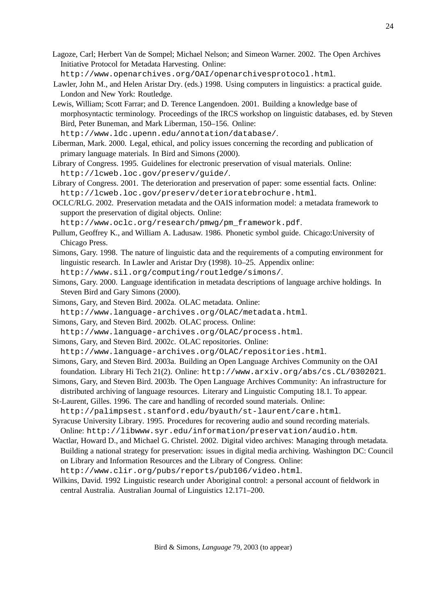- Lagoze, Carl; Herbert Van de Sompel; Michael Nelson; and Simeon Warner. 2002. The Open Archives Initiative Protocol for Metadata Harvesting. Online:
- http://www.openarchives.org/OAI/openarchivesprotocol.html.
- Lawler, John M., and Helen Aristar Dry. (eds.) 1998. Using computers in linguistics: a practical guide. London and New York: Routledge.
- Lewis, William; Scott Farrar; and D. Terence Langendoen. 2001. Building a knowledge base of morphosyntactic terminology. Proceedings of the IRCS workshop on linguistic databases, ed. by Steven Bird, Peter Buneman, and Mark Liberman, 150–156. Online:

http://www.ldc.upenn.edu/annotation/database/.

- Liberman, Mark. 2000. Legal, ethical, and policy issues concerning the recording and publication of primary language materials. In Bird and Simons (2000).
- Library of Congress. 1995. Guidelines for electronic preservation of visual materials. Online: http://lcweb.loc.gov/preserv/guide/.
- Library of Congress. 2001. The deterioration and preservation of paper: some essential facts. Online: http://lcweb.loc.gov/preserv/deterioratebrochure.html.
- OCLC/RLG. 2002. Preservation metadata and the OAIS information model: a metadata framework to support the preservation of digital objects. Online:

http://www.oclc.org/research/pmwg/pm\_framework.pdf.

- Pullum, Geoffrey K., and William A. Ladusaw. 1986. Phonetic symbol guide. Chicago:University of Chicago Press.
- Simons, Gary. 1998. The nature of linguistic data and the requirements of a computing environment for linguistic research. In Lawler and Aristar Dry (1998). 10–25. Appendix online: http://www.sil.org/computing/routledge/simons/.
- Simons, Gary. 2000. Language identification in metadata descriptions of language archive holdings. In Steven Bird and Gary Simons (2000).
- Simons, Gary, and Steven Bird. 2002a. OLAC metadata. Online:
- http://www.language-archives.org/OLAC/metadata.html.

Simons, Gary, and Steven Bird. 2002b. OLAC process. Online:

- http://www.language-archives.org/OLAC/process.html.
- Simons, Gary, and Steven Bird. 2002c. OLAC repositories. Online:

http://www.language-archives.org/OLAC/repositories.html.

- Simons, Gary, and Steven Bird. 2003a. Building an Open Language Archives Community on the OAI foundation. Library Hi Tech 21(2). Online: http://www.arxiv.org/abs/cs.CL/0302021.
- Simons, Gary, and Steven Bird. 2003b. The Open Language Archives Community: An infrastructure for distributed archiving of language resources. Literary and Linguistic Computing 18.1. To appear.
- St-Laurent, Gilles. 1996. The care and handling of recorded sound materials. Online:
- http://palimpsest.stanford.edu/byauth/st-laurent/care.html.
- Syracuse University Library. 1995. Procedures for recovering audio and sound recording materials. Online: http://libwww.syr.edu/information/preservation/audio.htm.
- Wactlar, Howard D., and Michael G. Christel. 2002. Digital video archives: Managing through metadata. Building a national strategy for preservation: issues in digital media archiving. Washington DC: Council on Library and Information Resources and the Library of Congress. Online: http://www.clir.org/pubs/reports/pub106/video.html.
- Wilkins, David. 1992 Linguistic research under Aboriginal control: a personal account of fieldwork in central Australia. Australian Journal of Linguistics 12.171–200.

24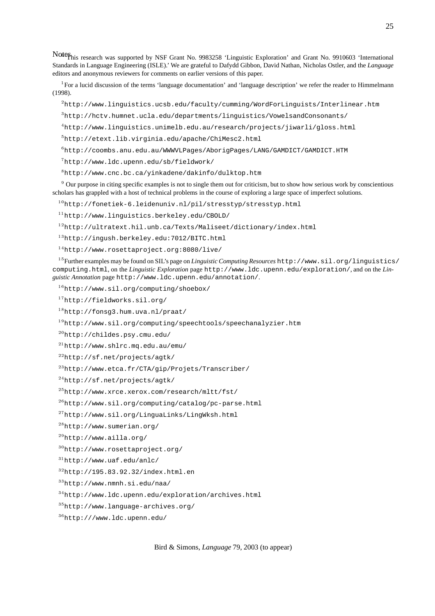Notes<sub>phis research was supported by NSF Grant No. 9983258 'Linguistic Exploration' and Grant No. 9910603 'International</sub> Standards in Language Engineering (ISLE).' We are grateful to Dafydd Gibbon, David Nathan, Nicholas Ostler, and the *Language* editors and anonymous reviewers for comments on earlier versions of this paper.

 For a lucid discussion of the terms 'language documentation' and 'language description' we refer the reader to Himmelmann (1998).

http://www.linguistics.ucsb.edu/faculty/cumming/WordForLinguists/Interlinear.htm

http://hctv.humnet.ucla.edu/departments/linguistics/VowelsandConsonants/

http://www.linguistics.unimelb.edu.au/research/projects/jiwarli/gloss.html

http://etext.lib.virginia.edu/apache/ChiMesc2.html

 $^6$ http://coombs.anu.edu.au/WWWVLPages/AborigPages/LANG/GAMDICT/GAMDICT.HTM

http://www.ldc.upenn.edu/sb/fieldwork/

http://www.cnc.bc.ca/yinkadene/dakinfo/dulktop.htm

 Our purpose in citing specific examples is not to single them out for criticism, but to show how serious work by conscientious scholars has grappled with a host of technical problems in the course of exploring a large space of imperfect solutions.

http://fonetiek-6.leidenuniv.nl/pil/stresstyp/stresstyp.html

http://www.linguistics.berkeley.edu/CBOLD/

http://ultratext.hil.unb.ca/Texts/Maliseet/dictionary/index.html

http://ingush.berkeley.edu:7012/BITC.html

http://www.rosettaproject.org:8080/live/

Further examples may be found on SIL's page on *Linguistic Computing Resources* http://www.sil.org/linguistics/ computing.html, on the *Linguistic Exploration* page http://www.ldc.upenn.edu/exploration/, and on the *Linguistic Annotation* page http://www.ldc.upenn.edu/annotation/.

http://www.sil.org/computing/shoebox/

http://fieldworks.sil.org/

http://fonsg3.hum.uva.nl/praat/

http://www.sil.org/computing/speechtools/speechanalyzier.htm

http://childes.psy.cmu.edu/

 $^{21}$ http://www.shlrc.mq.edu.au/emu/

 $^{22}$ http://sf.net/projects/agtk/

http://www.etca.fr/CTA/gip/Projets/Transcriber/

 $^{24}$ http://sf.net/projects/agtk/

http://www.xrce.xerox.com/research/mltt/fst/

 $^{26}$ http://www.sil.org/computing/catalog/pc-parse.html

http://www.sil.org/LinguaLinks/LingWksh.html

http://www.sumerian.org/

 $^{29}$ http://www.ailla.org/

http://www.rosettaproject.org/

http://www.uaf.edu/anlc/

http://195.83.92.32/index.html.en

http://www.nmnh.si.edu/naa/

http://www.ldc.upenn.edu/exploration/archives.html

http://www.language-archives.org/

http:///www.ldc.upenn.edu/